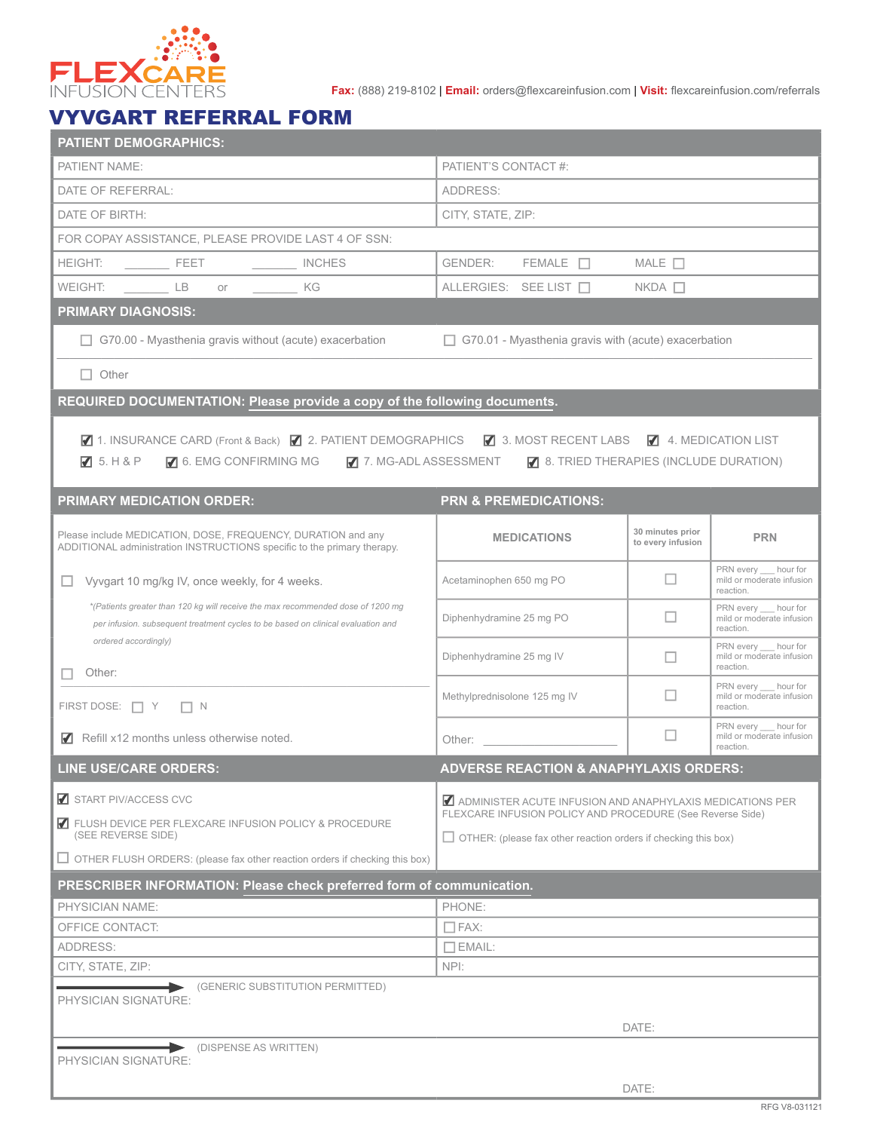

**Fax:** (888) 219-8102 | **Email:** orders@flexcareinfusion.com | **Visit:** flexcareinfusion.com/referrals

## VYVGART REFERRAL FORM

| <b>PATIENT DEMOGRAPHICS:</b>                                                                                                                                        |                                                                                                                                                                                                                                |                                       |                                                                                                                                 |  |  |  |
|---------------------------------------------------------------------------------------------------------------------------------------------------------------------|--------------------------------------------------------------------------------------------------------------------------------------------------------------------------------------------------------------------------------|---------------------------------------|---------------------------------------------------------------------------------------------------------------------------------|--|--|--|
| PATIENT NAME:                                                                                                                                                       | PATIENT'S CONTACT #:                                                                                                                                                                                                           |                                       |                                                                                                                                 |  |  |  |
| DATE OF REFERRAL:                                                                                                                                                   | ADDRESS:                                                                                                                                                                                                                       |                                       |                                                                                                                                 |  |  |  |
| DATE OF BIRTH:                                                                                                                                                      | CITY, STATE, ZIP:                                                                                                                                                                                                              |                                       |                                                                                                                                 |  |  |  |
| FOR COPAY ASSISTANCE, PLEASE PROVIDE LAST 4 OF SSN:                                                                                                                 |                                                                                                                                                                                                                                |                                       |                                                                                                                                 |  |  |  |
| <b>HEIGHT:</b><br>$\frac{1}{2}$ FEET<br>INCHES                                                                                                                      | GENDER:<br>$FEMALE$ $\Box$                                                                                                                                                                                                     | MALE $\Box$                           |                                                                                                                                 |  |  |  |
| <b>WEIGHT</b><br><b>LB</b><br>KG<br>or                                                                                                                              | ALLERGIES: SEE LIST                                                                                                                                                                                                            | $NKDA$ $\Box$                         |                                                                                                                                 |  |  |  |
| <b>PRIMARY DIAGNOSIS:</b>                                                                                                                                           |                                                                                                                                                                                                                                |                                       |                                                                                                                                 |  |  |  |
| $\Box$ G70.00 - Myasthenia gravis without (acute) exacerbation                                                                                                      | $\Box$ G70.01 - Myasthenia gravis with (acute) exacerbation                                                                                                                                                                    |                                       |                                                                                                                                 |  |  |  |
| $\Box$ Other                                                                                                                                                        |                                                                                                                                                                                                                                |                                       |                                                                                                                                 |  |  |  |
| REQUIRED DOCUMENTATION: Please provide a copy of the following documents.                                                                                           |                                                                                                                                                                                                                                |                                       |                                                                                                                                 |  |  |  |
| ■ 1. INSURANCE CARD (Front & Back) ■ 2. PATIENT DEMOGRAPHICS ■ 3. MOST RECENT LABS ■ 4. MEDICATION LIST<br>5. H&P<br>6. EMG CONFIRMING MG                           | $\blacksquare$ 7. MG-ADL ASSESSMENT $\blacksquare$ 8. TRIED THERAPIES (INCLUDE DURATION)                                                                                                                                       |                                       |                                                                                                                                 |  |  |  |
| <b>PRIMARY MEDICATION ORDER:</b>                                                                                                                                    | <b>PRN &amp; PREMEDICATIONS:</b>                                                                                                                                                                                               |                                       |                                                                                                                                 |  |  |  |
| Please include MEDICATION, DOSE, FREQUENCY, DURATION and any<br>ADDITIONAL administration INSTRUCTIONS specific to the primary therapy.                             | <b>MEDICATIONS</b>                                                                                                                                                                                                             | 30 minutes prior<br>to every infusion | <b>PRN</b>                                                                                                                      |  |  |  |
| Vyvgart 10 mg/kg IV, once weekly, for 4 weeks.                                                                                                                      | Acetaminophen 650 mg PO                                                                                                                                                                                                        | ப                                     | PRN every hour for<br>mild or moderate infusion<br>reaction.                                                                    |  |  |  |
| *(Patients greater than 120 kg will receive the max recommended dose of 1200 mg<br>per infusion. subsequent treatment cycles to be based on clinical evaluation and | Diphenhydramine 25 mg PO                                                                                                                                                                                                       | ш                                     | PRN every hour for<br>mild or moderate infusion<br>reaction.                                                                    |  |  |  |
| ordered accordingly)<br>Other:                                                                                                                                      | Diphenhydramine 25 mg IV                                                                                                                                                                                                       | $\Box$                                | PRN every hour for<br>mild or moderate infusion<br>reaction.<br>PRN every __ hour for<br>mild or moderate infusion<br>reaction. |  |  |  |
| FIRST DOSE: $\Box Y$<br>$\Box N$                                                                                                                                    | Methylprednisolone 125 mg IV                                                                                                                                                                                                   | п                                     |                                                                                                                                 |  |  |  |
| $\blacksquare$ Refill x12 months unless otherwise noted.                                                                                                            | Other: the contract of the contract of the contract of the contract of the contract of the contract of the contract of the contract of the contract of the contract of the contract of the contract of the contract of the con | $\Box$                                | PRN every __ hour for<br>mild or moderate infusion<br>reaction.                                                                 |  |  |  |
| <b>LINE USE/CARE ORDERS:</b>                                                                                                                                        | <b>ADVERSE REACTION &amp; ANAPHYLAXIS ORDERS:</b>                                                                                                                                                                              |                                       |                                                                                                                                 |  |  |  |
| START PIV/ACCESS CVC                                                                                                                                                | ADMINISTER ACUTE INFUSION AND ANAPHYLAXIS MEDICATIONS PER<br>FLEXCARE INFUSION POLICY AND PROCEDURE (See Reverse Side)<br>$\Box$ OTHER: (please fax other reaction orders if checking this box)                                |                                       |                                                                                                                                 |  |  |  |
| FLUSH DEVICE PER FLEXCARE INFUSION POLICY & PROCEDURE<br>(SEE REVERSE SIDE)                                                                                         |                                                                                                                                                                                                                                |                                       |                                                                                                                                 |  |  |  |
| $\Box$ OTHER FLUSH ORDERS: (please fax other reaction orders if checking this box)                                                                                  |                                                                                                                                                                                                                                |                                       |                                                                                                                                 |  |  |  |
| PRESCRIBER INFORMATION: Please check preferred form of communication.                                                                                               |                                                                                                                                                                                                                                |                                       |                                                                                                                                 |  |  |  |
| PHYSICIAN NAME:                                                                                                                                                     |                                                                                                                                                                                                                                | PHONE:                                |                                                                                                                                 |  |  |  |
| OFFICE CONTACT:<br>ADDRESS:                                                                                                                                         | $\Box$ EMAIL:                                                                                                                                                                                                                  | $\Box$ FAX:                           |                                                                                                                                 |  |  |  |
| CITY, STATE, ZIP:                                                                                                                                                   | NPI:                                                                                                                                                                                                                           |                                       |                                                                                                                                 |  |  |  |
| (GENERIC SUBSTITUTION PERMITTED)                                                                                                                                    |                                                                                                                                                                                                                                |                                       |                                                                                                                                 |  |  |  |
| PHYSICIAN SIGNATURE:                                                                                                                                                |                                                                                                                                                                                                                                |                                       |                                                                                                                                 |  |  |  |
|                                                                                                                                                                     |                                                                                                                                                                                                                                | DATE:                                 |                                                                                                                                 |  |  |  |
| (DISPENSE AS WRITTEN)<br>PHYSICIAN SIGNATURE:                                                                                                                       |                                                                                                                                                                                                                                |                                       |                                                                                                                                 |  |  |  |
|                                                                                                                                                                     |                                                                                                                                                                                                                                | DATE:                                 |                                                                                                                                 |  |  |  |
|                                                                                                                                                                     |                                                                                                                                                                                                                                |                                       |                                                                                                                                 |  |  |  |